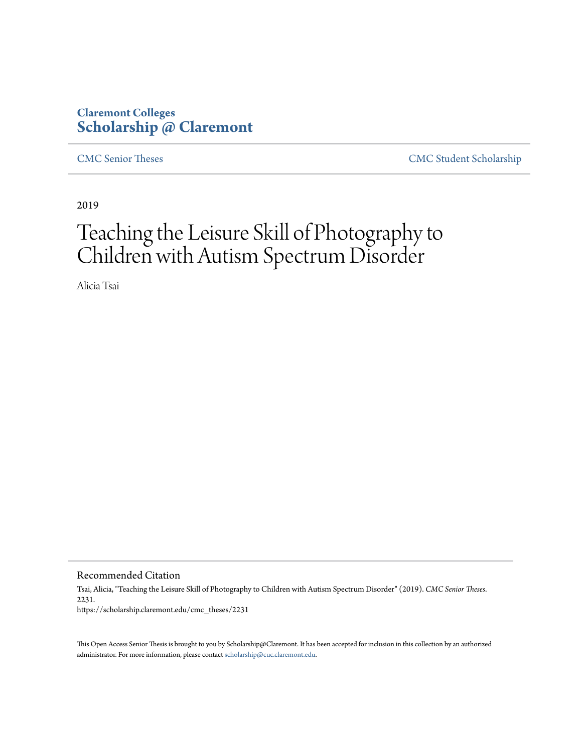# **Claremont Colleges [Scholarship @ Claremont](https://scholarship.claremont.edu)**

[CMC Senior Theses](https://scholarship.claremont.edu/cmc_theses) [CMC Student Scholarship](https://scholarship.claremont.edu/cmc_student)

2019

# Teaching the Leisure Skill of Photography to Children with Autism Spectrum Disorder

Alicia Tsai

Recommended Citation

Tsai, Alicia, "Teaching the Leisure Skill of Photography to Children with Autism Spectrum Disorder" (2019). *CMC Senior Theses*. 2231. https://scholarship.claremont.edu/cmc\_theses/2231

This Open Access Senior Thesis is brought to you by Scholarship@Claremont. It has been accepted for inclusion in this collection by an authorized administrator. For more information, please contact [scholarship@cuc.claremont.edu.](mailto:scholarship@cuc.claremont.edu)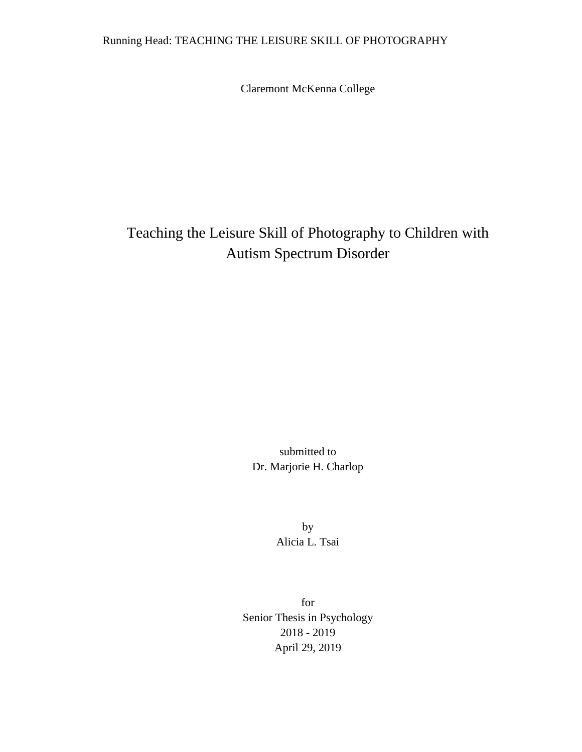## Running Head: TEACHING THE LEISURE SKILL OF PHOTOGRAPHY

Claremont McKenna College

# Teaching the Leisure Skill of Photography to Children with Autism Spectrum Disorder

submitted to Dr. Marjorie H. Charlop

> by Alicia L. Tsai

for Senior Thesis in Psychology 2018 - 2019 April 29, 2019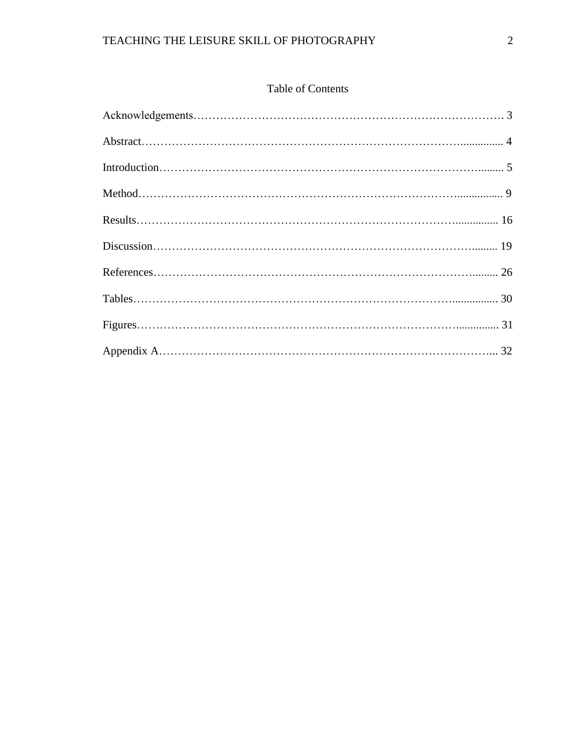## Table of Contents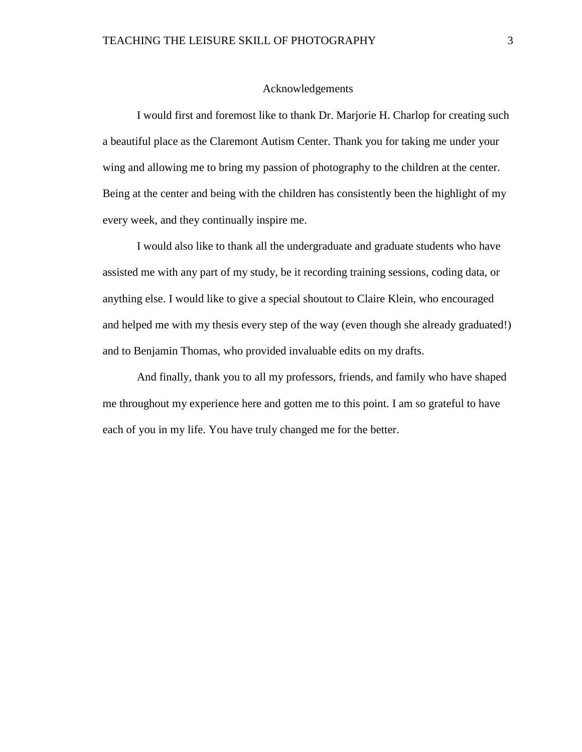#### Acknowledgements

I would first and foremost like to thank Dr. Marjorie H. Charlop for creating such a beautiful place as the Claremont Autism Center. Thank you for taking me under your wing and allowing me to bring my passion of photography to the children at the center. Being at the center and being with the children has consistently been the highlight of my every week, and they continually inspire me.

I would also like to thank all the undergraduate and graduate students who have assisted me with any part of my study, be it recording training sessions, coding data, or anything else. I would like to give a special shoutout to Claire Klein, who encouraged and helped me with my thesis every step of the way (even though she already graduated!) and to Benjamin Thomas, who provided invaluable edits on my drafts.

And finally, thank you to all my professors, friends, and family who have shaped me throughout my experience here and gotten me to this point. I am so grateful to have each of you in my life. You have truly changed me for the better.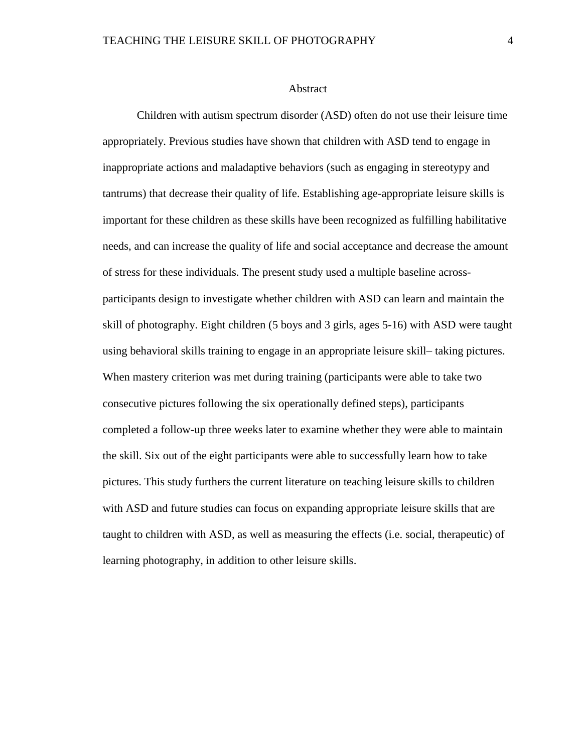#### Abstract

Children with autism spectrum disorder (ASD) often do not use their leisure time appropriately. Previous studies have shown that children with ASD tend to engage in inappropriate actions and maladaptive behaviors (such as engaging in stereotypy and tantrums) that decrease their quality of life. Establishing age-appropriate leisure skills is important for these children as these skills have been recognized as fulfilling habilitative needs, and can increase the quality of life and social acceptance and decrease the amount of stress for these individuals. The present study used a multiple baseline acrossparticipants design to investigate whether children with ASD can learn and maintain the skill of photography. Eight children (5 boys and 3 girls, ages 5-16) with ASD were taught using behavioral skills training to engage in an appropriate leisure skill– taking pictures. When mastery criterion was met during training (participants were able to take two consecutive pictures following the six operationally defined steps), participants completed a follow-up three weeks later to examine whether they were able to maintain the skill. Six out of the eight participants were able to successfully learn how to take pictures. This study furthers the current literature on teaching leisure skills to children with ASD and future studies can focus on expanding appropriate leisure skills that are taught to children with ASD, as well as measuring the effects (i.e. social, therapeutic) of learning photography, in addition to other leisure skills.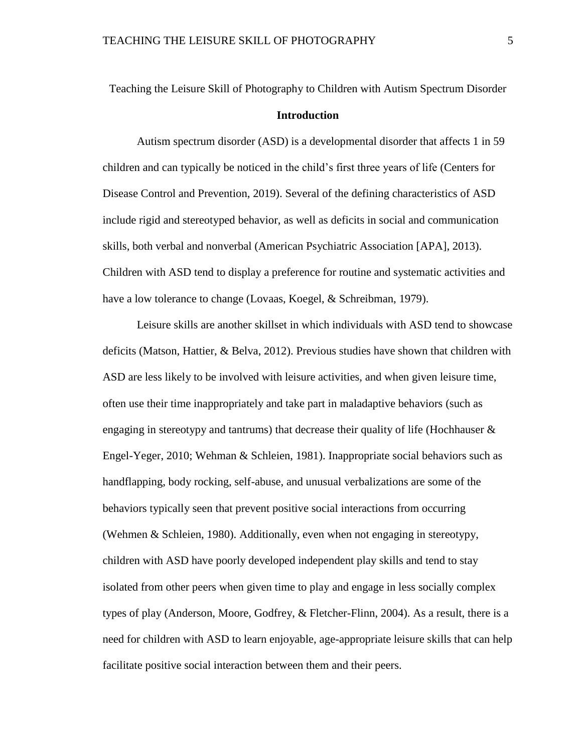# Teaching the Leisure Skill of Photography to Children with Autism Spectrum Disorder **Introduction**

Autism spectrum disorder (ASD) is a developmental disorder that affects 1 in 59 children and can typically be noticed in the child's first three years of life (Centers for Disease Control and Prevention, 2019). Several of the defining characteristics of ASD include rigid and stereotyped behavior, as well as deficits in social and communication skills, both verbal and nonverbal (American Psychiatric Association [APA], 2013). Children with ASD tend to display a preference for routine and systematic activities and have a low tolerance to change (Lovaas, Koegel, & Schreibman, 1979).

Leisure skills are another skillset in which individuals with ASD tend to showcase deficits (Matson, Hattier, & Belva, 2012). Previous studies have shown that children with ASD are less likely to be involved with leisure activities, and when given leisure time, often use their time inappropriately and take part in maladaptive behaviors (such as engaging in stereotypy and tantrums) that decrease their quality of life (Hochhauser  $\&$ Engel-Yeger, 2010; Wehman & Schleien, 1981). Inappropriate social behaviors such as handflapping, body rocking, self-abuse, and unusual verbalizations are some of the behaviors typically seen that prevent positive social interactions from occurring (Wehmen & Schleien, 1980). Additionally, even when not engaging in stereotypy, children with ASD have poorly developed independent play skills and tend to stay isolated from other peers when given time to play and engage in less socially complex types of play (Anderson, Moore, Godfrey, & Fletcher-Flinn, 2004). As a result, there is a need for children with ASD to learn enjoyable, age-appropriate leisure skills that can help facilitate positive social interaction between them and their peers.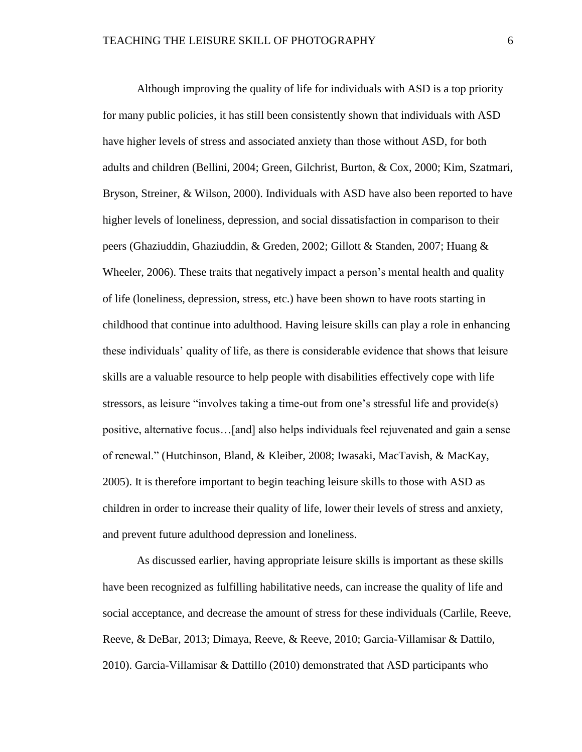Although improving the quality of life for individuals with ASD is a top priority for many public policies, it has still been consistently shown that individuals with ASD have higher levels of stress and associated anxiety than those without ASD, for both adults and children (Bellini, 2004; Green, Gilchrist, Burton, & Cox, 2000; Kim, Szatmari, Bryson, Streiner, & Wilson, 2000). Individuals with ASD have also been reported to have higher levels of loneliness, depression, and social dissatisfaction in comparison to their peers (Ghaziuddin, Ghaziuddin, & Greden, 2002; Gillott & Standen, 2007; Huang & Wheeler, 2006). These traits that negatively impact a person's mental health and quality of life (loneliness, depression, stress, etc.) have been shown to have roots starting in childhood that continue into adulthood. Having leisure skills can play a role in enhancing these individuals' quality of life, as there is considerable evidence that shows that leisure skills are a valuable resource to help people with disabilities effectively cope with life stressors, as leisure "involves taking a time-out from one's stressful life and provide(s) positive, alternative focus…[and] also helps individuals feel rejuvenated and gain a sense of renewal." (Hutchinson, Bland, & Kleiber, 2008; Iwasaki, MacTavish, & MacKay, 2005). It is therefore important to begin teaching leisure skills to those with ASD as children in order to increase their quality of life, lower their levels of stress and anxiety, and prevent future adulthood depression and loneliness.

As discussed earlier, having appropriate leisure skills is important as these skills have been recognized as fulfilling habilitative needs, can increase the quality of life and social acceptance, and decrease the amount of stress for these individuals (Carlile, Reeve, Reeve, & DeBar, 2013; Dimaya, Reeve, & Reeve, 2010; Garcia-Villamisar & Dattilo, 2010). Garcia-Villamisar & Dattillo (2010) demonstrated that ASD participants who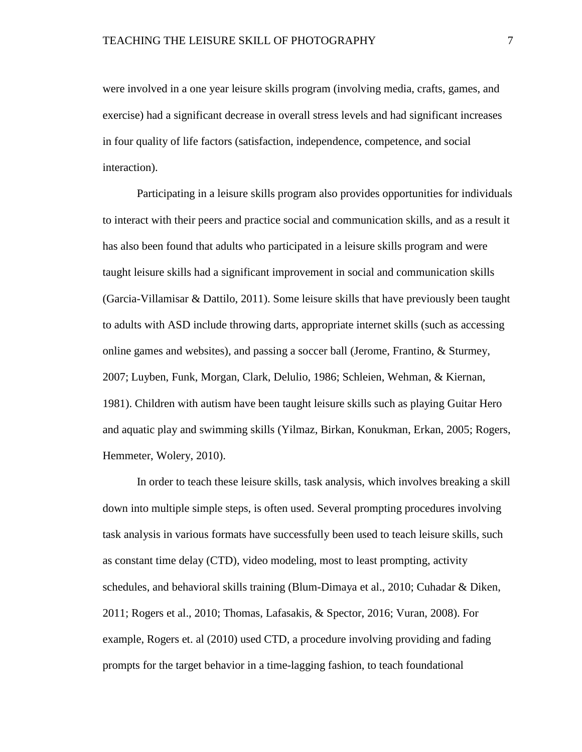were involved in a one year leisure skills program (involving media, crafts, games, and exercise) had a significant decrease in overall stress levels and had significant increases in four quality of life factors (satisfaction, independence, competence, and social interaction).

Participating in a leisure skills program also provides opportunities for individuals to interact with their peers and practice social and communication skills, and as a result it has also been found that adults who participated in a leisure skills program and were taught leisure skills had a significant improvement in social and communication skills (Garcia-Villamisar & Dattilo, 2011). Some leisure skills that have previously been taught to adults with ASD include throwing darts, appropriate internet skills (such as accessing online games and websites), and passing a soccer ball (Jerome, Frantino, & Sturmey, 2007; Luyben, Funk, Morgan, Clark, Delulio, 1986; Schleien, Wehman, & Kiernan, 1981). Children with autism have been taught leisure skills such as playing Guitar Hero and aquatic play and swimming skills (Yilmaz, Birkan, Konukman, Erkan, 2005; Rogers, Hemmeter, Wolery, 2010).

In order to teach these leisure skills, task analysis, which involves breaking a skill down into multiple simple steps, is often used. Several prompting procedures involving task analysis in various formats have successfully been used to teach leisure skills, such as constant time delay (CTD), video modeling, most to least prompting, activity schedules, and behavioral skills training (Blum-Dimaya et al., 2010; Cuhadar & Diken, 2011; Rogers et al., 2010; Thomas, Lafasakis, & Spector, 2016; Vuran, 2008). For example, Rogers et. al (2010) used CTD, a procedure involving providing and fading prompts for the target behavior in a time-lagging fashion, to teach foundational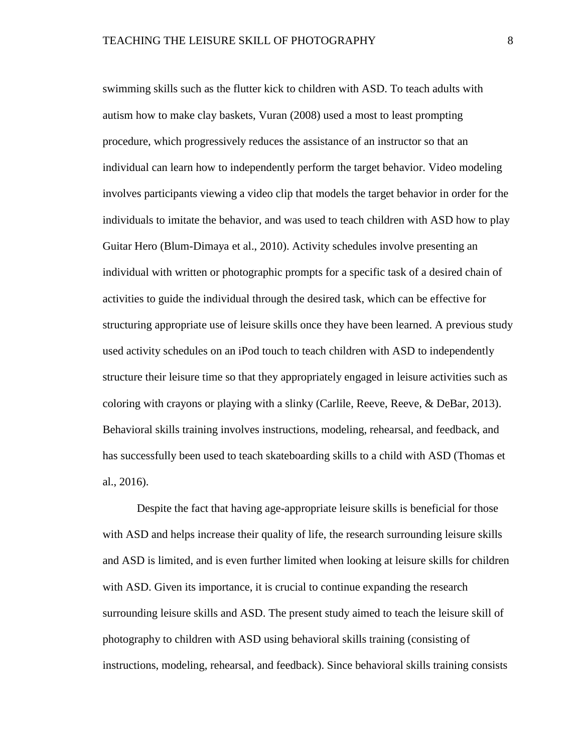swimming skills such as the flutter kick to children with ASD. To teach adults with autism how to make clay baskets, Vuran (2008) used a most to least prompting procedure, which progressively reduces the assistance of an instructor so that an individual can learn how to independently perform the target behavior. Video modeling involves participants viewing a video clip that models the target behavior in order for the individuals to imitate the behavior, and was used to teach children with ASD how to play Guitar Hero (Blum-Dimaya et al., 2010). Activity schedules involve presenting an individual with written or photographic prompts for a specific task of a desired chain of activities to guide the individual through the desired task, which can be effective for structuring appropriate use of leisure skills once they have been learned. A previous study used activity schedules on an iPod touch to teach children with ASD to independently structure their leisure time so that they appropriately engaged in leisure activities such as coloring with crayons or playing with a slinky (Carlile, Reeve, Reeve, & DeBar, 2013). Behavioral skills training involves instructions, modeling, rehearsal, and feedback, and has successfully been used to teach skateboarding skills to a child with ASD (Thomas et al., 2016).

Despite the fact that having age-appropriate leisure skills is beneficial for those with ASD and helps increase their quality of life, the research surrounding leisure skills and ASD is limited, and is even further limited when looking at leisure skills for children with ASD. Given its importance, it is crucial to continue expanding the research surrounding leisure skills and ASD. The present study aimed to teach the leisure skill of photography to children with ASD using behavioral skills training (consisting of instructions, modeling, rehearsal, and feedback). Since behavioral skills training consists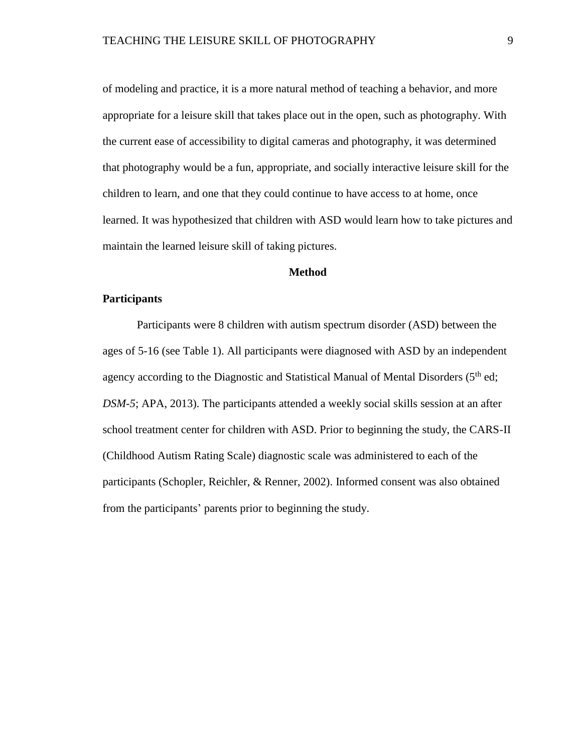of modeling and practice, it is a more natural method of teaching a behavior, and more appropriate for a leisure skill that takes place out in the open, such as photography. With the current ease of accessibility to digital cameras and photography, it was determined that photography would be a fun, appropriate, and socially interactive leisure skill for the children to learn, and one that they could continue to have access to at home, once learned. It was hypothesized that children with ASD would learn how to take pictures and maintain the learned leisure skill of taking pictures.

#### **Method**

#### **Participants**

Participants were 8 children with autism spectrum disorder (ASD) between the ages of 5-16 (see Table 1). All participants were diagnosed with ASD by an independent agency according to the Diagnostic and Statistical Manual of Mental Disorders  $(5<sup>th</sup>$ ed; *DSM-5*; APA, 2013). The participants attended a weekly social skills session at an after school treatment center for children with ASD. Prior to beginning the study, the CARS-II (Childhood Autism Rating Scale) diagnostic scale was administered to each of the participants (Schopler, Reichler, & Renner, 2002). Informed consent was also obtained from the participants' parents prior to beginning the study.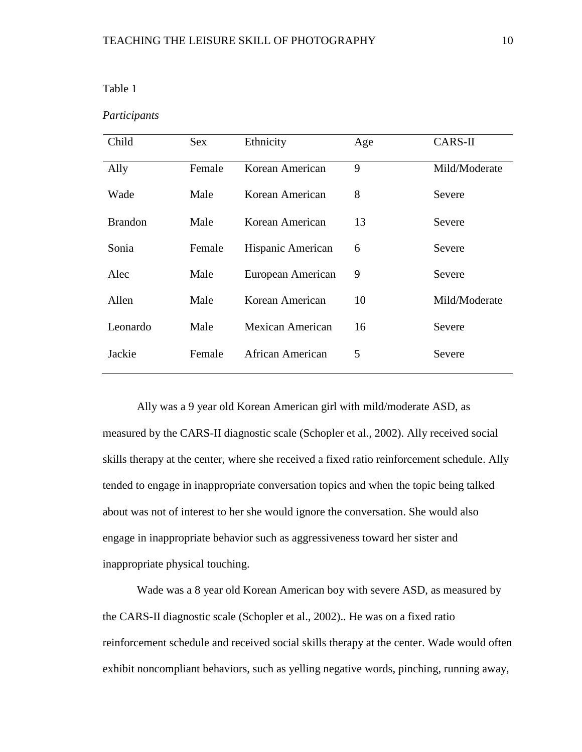#### Table 1

#### *Participants*

| Child          | <b>Sex</b> | Ethnicity         | Age | CARS-II       |  |
|----------------|------------|-------------------|-----|---------------|--|
| Ally           | Female     | Korean American   | 9   | Mild/Moderate |  |
| Wade           | Male       | Korean American   | 8   | Severe        |  |
| <b>Brandon</b> | Male       | Korean American   | 13  | Severe        |  |
| Sonia          | Female     | Hispanic American | 6   | Severe        |  |
| Alec           | Male       | European American | 9   | Severe        |  |
| Allen          | Male       | Korean American   | 10  | Mild/Moderate |  |
| Leonardo       | Male       | Mexican American  | 16  | Severe        |  |
| Jackie         | Female     | African American  | 5   | Severe        |  |

Ally was a 9 year old Korean American girl with mild/moderate ASD, as measured by the CARS-II diagnostic scale (Schopler et al., 2002). Ally received social skills therapy at the center, where she received a fixed ratio reinforcement schedule. Ally tended to engage in inappropriate conversation topics and when the topic being talked about was not of interest to her she would ignore the conversation. She would also engage in inappropriate behavior such as aggressiveness toward her sister and inappropriate physical touching.

Wade was a 8 year old Korean American boy with severe ASD, as measured by the CARS-II diagnostic scale (Schopler et al., 2002).. He was on a fixed ratio reinforcement schedule and received social skills therapy at the center. Wade would often exhibit noncompliant behaviors, such as yelling negative words, pinching, running away,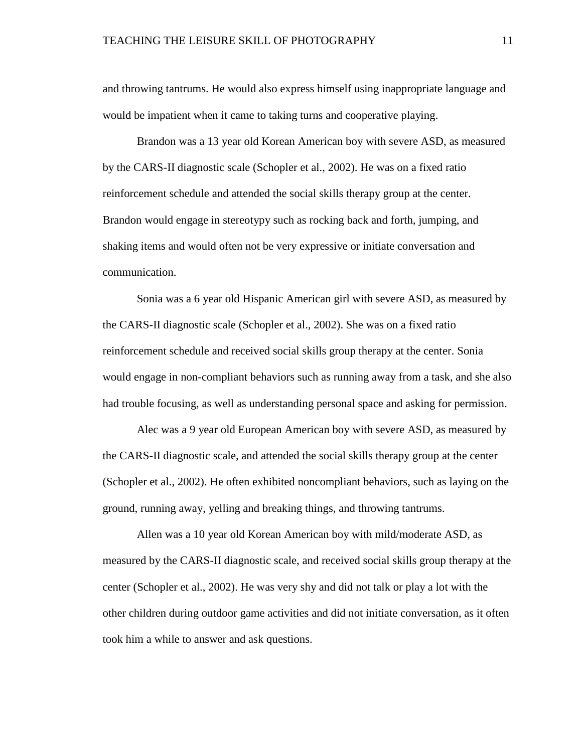and throwing tantrums. He would also express himself using inappropriate language and would be impatient when it came to taking turns and cooperative playing.

Brandon was a 13 year old Korean American boy with severe ASD, as measured by the CARS-II diagnostic scale (Schopler et al., 2002). He was on a fixed ratio reinforcement schedule and attended the social skills therapy group at the center. Brandon would engage in stereotypy such as rocking back and forth, jumping, and shaking items and would often not be very expressive or initiate conversation and communication.

Sonia was a 6 year old Hispanic American girl with severe ASD, as measured by the CARS-II diagnostic scale (Schopler et al., 2002). She was on a fixed ratio reinforcement schedule and received social skills group therapy at the center. Sonia would engage in non-compliant behaviors such as running away from a task, and she also had trouble focusing, as well as understanding personal space and asking for permission.

Alec was a 9 year old European American boy with severe ASD, as measured by the CARS-II diagnostic scale, and attended the social skills therapy group at the center (Schopler et al., 2002). He often exhibited noncompliant behaviors, such as laying on the ground, running away, yelling and breaking things, and throwing tantrums.

Allen was a 10 year old Korean American boy with mild/moderate ASD, as measured by the CARS-II diagnostic scale, and received social skills group therapy at the center (Schopler et al., 2002). He was very shy and did not talk or play a lot with the other children during outdoor game activities and did not initiate conversation, as it often took him a while to answer and ask questions.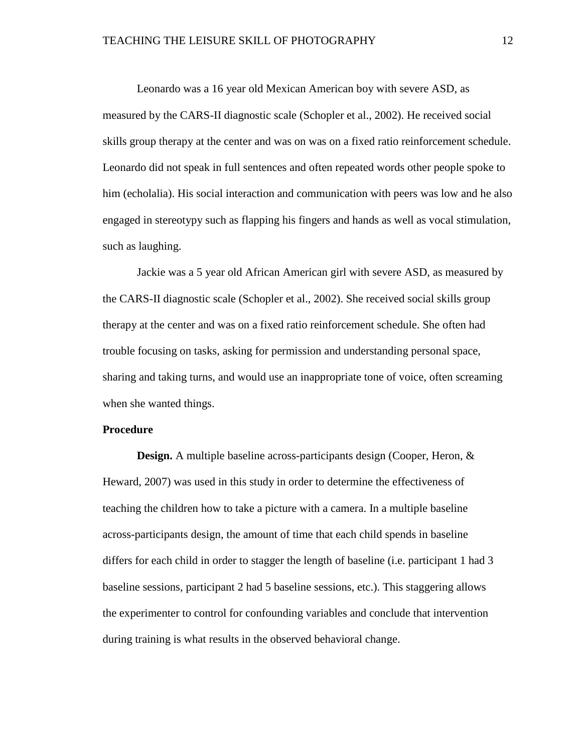Leonardo was a 16 year old Mexican American boy with severe ASD, as measured by the CARS-II diagnostic scale (Schopler et al., 2002). He received social skills group therapy at the center and was on was on a fixed ratio reinforcement schedule. Leonardo did not speak in full sentences and often repeated words other people spoke to him (echolalia). His social interaction and communication with peers was low and he also engaged in stereotypy such as flapping his fingers and hands as well as vocal stimulation, such as laughing.

Jackie was a 5 year old African American girl with severe ASD, as measured by the CARS-II diagnostic scale (Schopler et al., 2002). She received social skills group therapy at the center and was on a fixed ratio reinforcement schedule. She often had trouble focusing on tasks, asking for permission and understanding personal space, sharing and taking turns, and would use an inappropriate tone of voice, often screaming when she wanted things.

#### **Procedure**

**Design.** A multiple baseline across-participants design (Cooper, Heron, & Heward, 2007) was used in this study in order to determine the effectiveness of teaching the children how to take a picture with a camera. In a multiple baseline across-participants design, the amount of time that each child spends in baseline differs for each child in order to stagger the length of baseline (i.e. participant 1 had 3 baseline sessions, participant 2 had 5 baseline sessions, etc.). This staggering allows the experimenter to control for confounding variables and conclude that intervention during training is what results in the observed behavioral change.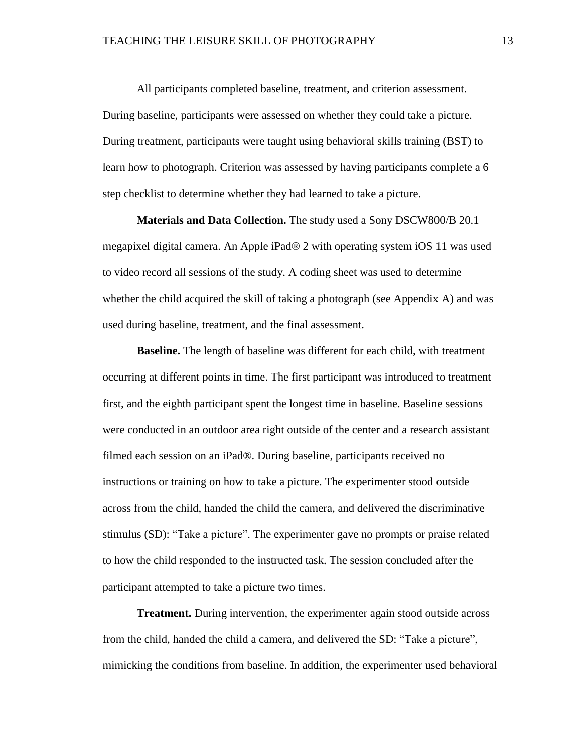All participants completed baseline, treatment, and criterion assessment. During baseline, participants were assessed on whether they could take a picture. During treatment, participants were taught using behavioral skills training (BST) to learn how to photograph. Criterion was assessed by having participants complete a 6 step checklist to determine whether they had learned to take a picture.

**Materials and Data Collection.** The study used a Sony DSCW800/B 20.1 megapixel digital camera. An Apple iPad® 2 with operating system iOS 11 was used to video record all sessions of the study. A coding sheet was used to determine whether the child acquired the skill of taking a photograph (see Appendix A) and was used during baseline, treatment, and the final assessment.

**Baseline.** The length of baseline was different for each child, with treatment occurring at different points in time. The first participant was introduced to treatment first, and the eighth participant spent the longest time in baseline. Baseline sessions were conducted in an outdoor area right outside of the center and a research assistant filmed each session on an iPad®. During baseline, participants received no instructions or training on how to take a picture. The experimenter stood outside across from the child, handed the child the camera, and delivered the discriminative stimulus (SD): "Take a picture". The experimenter gave no prompts or praise related to how the child responded to the instructed task. The session concluded after the participant attempted to take a picture two times.

**Treatment.** During intervention, the experimenter again stood outside across from the child, handed the child a camera, and delivered the SD: "Take a picture", mimicking the conditions from baseline. In addition, the experimenter used behavioral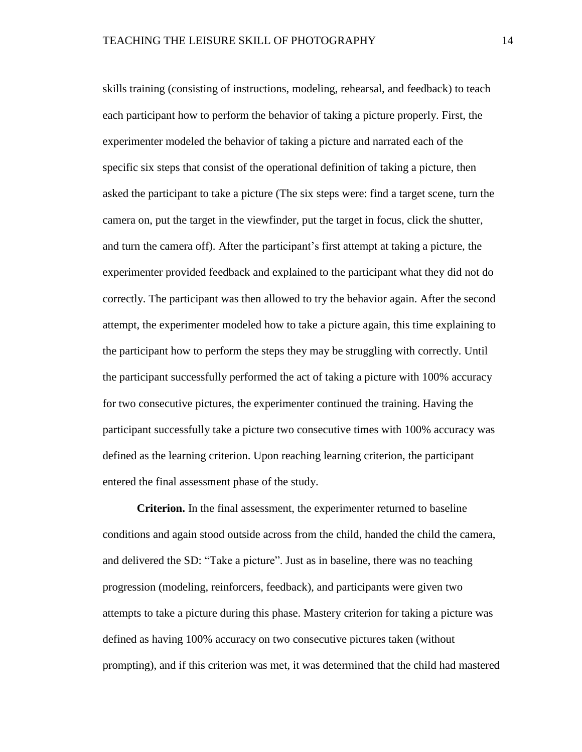skills training (consisting of instructions, modeling, rehearsal, and feedback) to teach each participant how to perform the behavior of taking a picture properly. First, the experimenter modeled the behavior of taking a picture and narrated each of the specific six steps that consist of the operational definition of taking a picture, then asked the participant to take a picture (The six steps were: find a target scene, turn the camera on, put the target in the viewfinder, put the target in focus, click the shutter, and turn the camera off). After the participant's first attempt at taking a picture, the experimenter provided feedback and explained to the participant what they did not do correctly. The participant was then allowed to try the behavior again. After the second attempt, the experimenter modeled how to take a picture again, this time explaining to the participant how to perform the steps they may be struggling with correctly. Until the participant successfully performed the act of taking a picture with 100% accuracy for two consecutive pictures, the experimenter continued the training. Having the participant successfully take a picture two consecutive times with 100% accuracy was defined as the learning criterion. Upon reaching learning criterion, the participant entered the final assessment phase of the study.

**Criterion.** In the final assessment, the experimenter returned to baseline conditions and again stood outside across from the child, handed the child the camera, and delivered the SD: "Take a picture". Just as in baseline, there was no teaching progression (modeling, reinforcers, feedback), and participants were given two attempts to take a picture during this phase. Mastery criterion for taking a picture was defined as having 100% accuracy on two consecutive pictures taken (without prompting), and if this criterion was met, it was determined that the child had mastered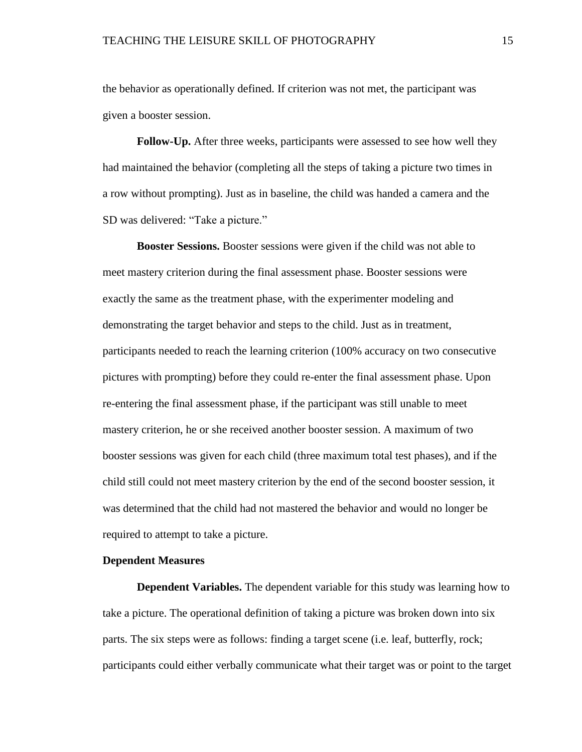the behavior as operationally defined. If criterion was not met, the participant was given a booster session.

**Follow-Up.** After three weeks, participants were assessed to see how well they had maintained the behavior (completing all the steps of taking a picture two times in a row without prompting). Just as in baseline, the child was handed a camera and the SD was delivered: "Take a picture."

**Booster Sessions.** Booster sessions were given if the child was not able to meet mastery criterion during the final assessment phase. Booster sessions were exactly the same as the treatment phase, with the experimenter modeling and demonstrating the target behavior and steps to the child. Just as in treatment, participants needed to reach the learning criterion (100% accuracy on two consecutive pictures with prompting) before they could re-enter the final assessment phase. Upon re-entering the final assessment phase, if the participant was still unable to meet mastery criterion, he or she received another booster session. A maximum of two booster sessions was given for each child (three maximum total test phases), and if the child still could not meet mastery criterion by the end of the second booster session, it was determined that the child had not mastered the behavior and would no longer be required to attempt to take a picture.

#### **Dependent Measures**

**Dependent Variables.** The dependent variable for this study was learning how to take a picture. The operational definition of taking a picture was broken down into six parts. The six steps were as follows: finding a target scene (i.e. leaf, butterfly, rock; participants could either verbally communicate what their target was or point to the target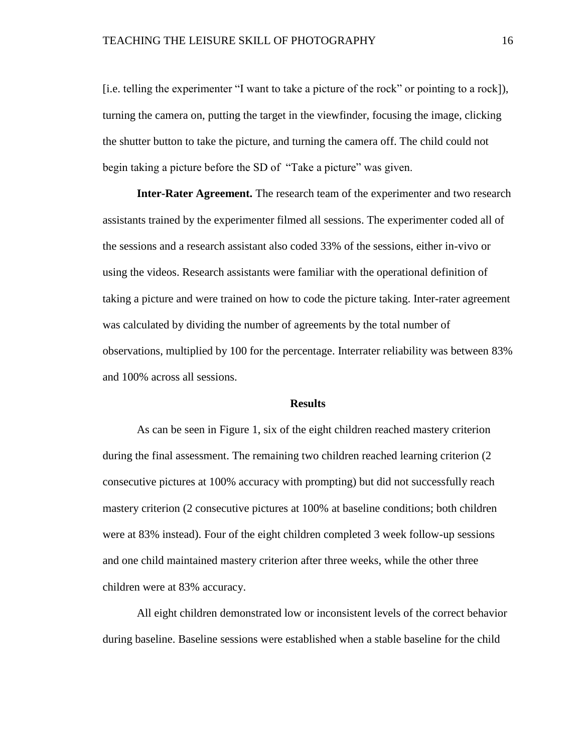[i.e. telling the experimenter "I want to take a picture of the rock" or pointing to a rock]), turning the camera on, putting the target in the viewfinder, focusing the image, clicking the shutter button to take the picture, and turning the camera off. The child could not begin taking a picture before the SD of "Take a picture" was given.

**Inter-Rater Agreement.** The research team of the experimenter and two research assistants trained by the experimenter filmed all sessions. The experimenter coded all of the sessions and a research assistant also coded 33% of the sessions, either in-vivo or using the videos. Research assistants were familiar with the operational definition of taking a picture and were trained on how to code the picture taking. Inter-rater agreement was calculated by dividing the number of agreements by the total number of observations, multiplied by 100 for the percentage. Interrater reliability was between 83% and 100% across all sessions.

#### **Results**

As can be seen in Figure 1, six of the eight children reached mastery criterion during the final assessment. The remaining two children reached learning criterion (2 consecutive pictures at 100% accuracy with prompting) but did not successfully reach mastery criterion (2 consecutive pictures at 100% at baseline conditions; both children were at 83% instead). Four of the eight children completed 3 week follow-up sessions and one child maintained mastery criterion after three weeks, while the other three children were at 83% accuracy.

All eight children demonstrated low or inconsistent levels of the correct behavior during baseline. Baseline sessions were established when a stable baseline for the child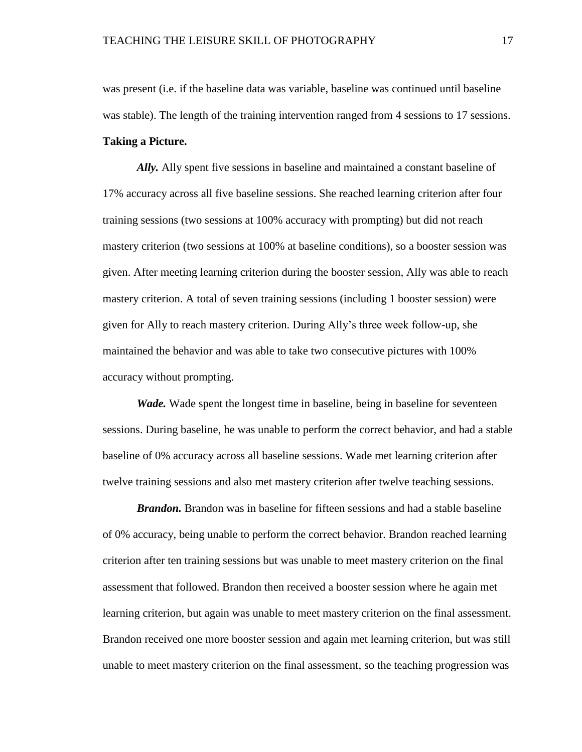was present (i.e. if the baseline data was variable, baseline was continued until baseline was stable). The length of the training intervention ranged from 4 sessions to 17 sessions. **Taking a Picture.**

*Ally.* Ally spent five sessions in baseline and maintained a constant baseline of 17% accuracy across all five baseline sessions. She reached learning criterion after four training sessions (two sessions at 100% accuracy with prompting) but did not reach mastery criterion (two sessions at 100% at baseline conditions), so a booster session was given. After meeting learning criterion during the booster session, Ally was able to reach mastery criterion. A total of seven training sessions (including 1 booster session) were given for Ally to reach mastery criterion. During Ally's three week follow-up, she maintained the behavior and was able to take two consecutive pictures with 100% accuracy without prompting.

*Wade.* Wade spent the longest time in baseline, being in baseline for seventeen sessions. During baseline, he was unable to perform the correct behavior, and had a stable baseline of 0% accuracy across all baseline sessions. Wade met learning criterion after twelve training sessions and also met mastery criterion after twelve teaching sessions.

*Brandon.* Brandon was in baseline for fifteen sessions and had a stable baseline of 0% accuracy, being unable to perform the correct behavior. Brandon reached learning criterion after ten training sessions but was unable to meet mastery criterion on the final assessment that followed. Brandon then received a booster session where he again met learning criterion, but again was unable to meet mastery criterion on the final assessment. Brandon received one more booster session and again met learning criterion, but was still unable to meet mastery criterion on the final assessment, so the teaching progression was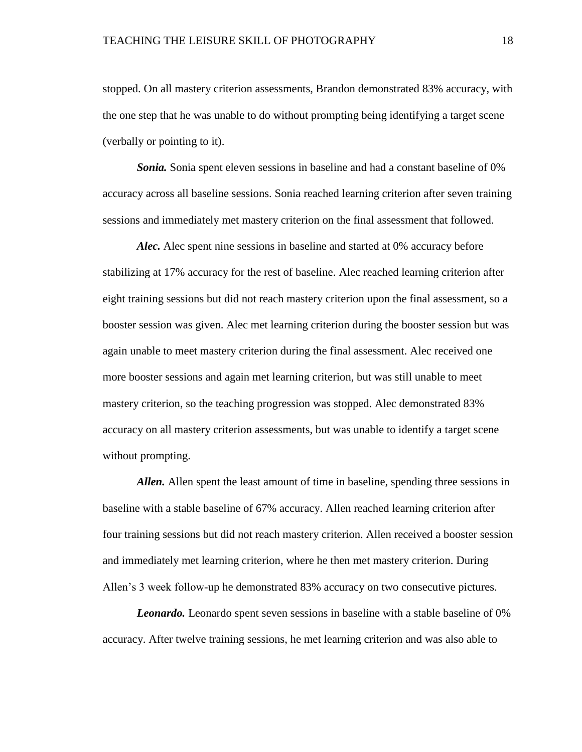stopped. On all mastery criterion assessments, Brandon demonstrated 83% accuracy, with the one step that he was unable to do without prompting being identifying a target scene (verbally or pointing to it).

*Sonia.* Sonia spent eleven sessions in baseline and had a constant baseline of 0% accuracy across all baseline sessions. Sonia reached learning criterion after seven training sessions and immediately met mastery criterion on the final assessment that followed.

*Alec.* Alec spent nine sessions in baseline and started at 0% accuracy before stabilizing at 17% accuracy for the rest of baseline. Alec reached learning criterion after eight training sessions but did not reach mastery criterion upon the final assessment, so a booster session was given. Alec met learning criterion during the booster session but was again unable to meet mastery criterion during the final assessment. Alec received one more booster sessions and again met learning criterion, but was still unable to meet mastery criterion, so the teaching progression was stopped. Alec demonstrated 83% accuracy on all mastery criterion assessments, but was unable to identify a target scene without prompting.

*Allen.* Allen spent the least amount of time in baseline, spending three sessions in baseline with a stable baseline of 67% accuracy. Allen reached learning criterion after four training sessions but did not reach mastery criterion. Allen received a booster session and immediately met learning criterion, where he then met mastery criterion. During Allen's 3 week follow-up he demonstrated 83% accuracy on two consecutive pictures.

*Leonardo.* Leonardo spent seven sessions in baseline with a stable baseline of 0% accuracy. After twelve training sessions, he met learning criterion and was also able to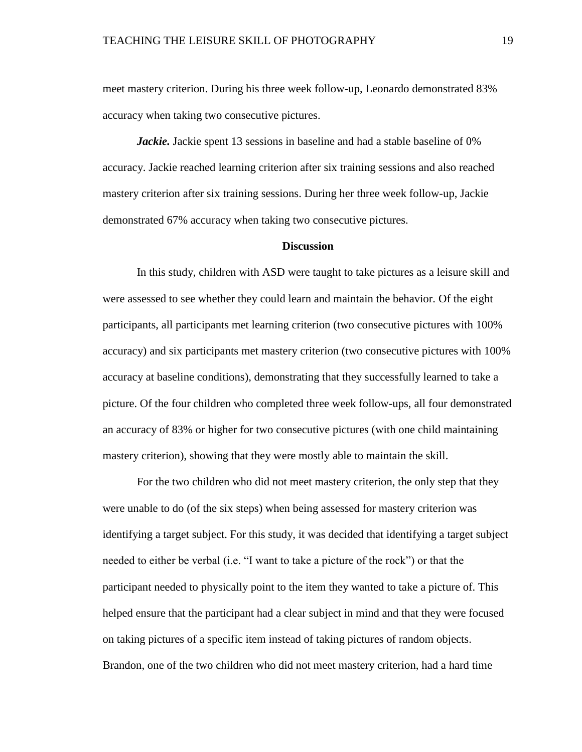meet mastery criterion. During his three week follow-up, Leonardo demonstrated 83% accuracy when taking two consecutive pictures.

*Jackie.* Jackie spent 13 sessions in baseline and had a stable baseline of 0% accuracy. Jackie reached learning criterion after six training sessions and also reached mastery criterion after six training sessions. During her three week follow-up, Jackie demonstrated 67% accuracy when taking two consecutive pictures.

#### **Discussion**

In this study, children with ASD were taught to take pictures as a leisure skill and were assessed to see whether they could learn and maintain the behavior. Of the eight participants, all participants met learning criterion (two consecutive pictures with 100% accuracy) and six participants met mastery criterion (two consecutive pictures with 100% accuracy at baseline conditions), demonstrating that they successfully learned to take a picture. Of the four children who completed three week follow-ups, all four demonstrated an accuracy of 83% or higher for two consecutive pictures (with one child maintaining mastery criterion), showing that they were mostly able to maintain the skill.

For the two children who did not meet mastery criterion, the only step that they were unable to do (of the six steps) when being assessed for mastery criterion was identifying a target subject. For this study, it was decided that identifying a target subject needed to either be verbal (i.e. "I want to take a picture of the rock") or that the participant needed to physically point to the item they wanted to take a picture of. This helped ensure that the participant had a clear subject in mind and that they were focused on taking pictures of a specific item instead of taking pictures of random objects. Brandon, one of the two children who did not meet mastery criterion, had a hard time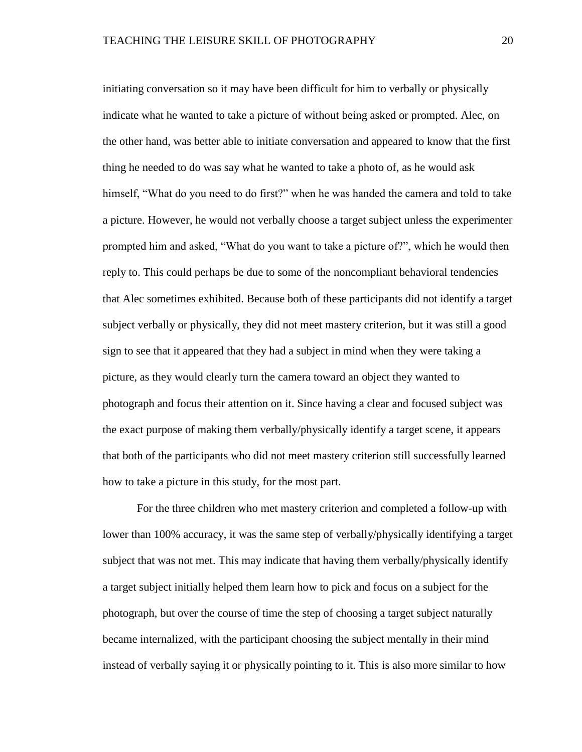initiating conversation so it may have been difficult for him to verbally or physically indicate what he wanted to take a picture of without being asked or prompted. Alec, on the other hand, was better able to initiate conversation and appeared to know that the first thing he needed to do was say what he wanted to take a photo of, as he would ask himself, "What do you need to do first?" when he was handed the camera and told to take a picture. However, he would not verbally choose a target subject unless the experimenter prompted him and asked, "What do you want to take a picture of?", which he would then reply to. This could perhaps be due to some of the noncompliant behavioral tendencies that Alec sometimes exhibited. Because both of these participants did not identify a target subject verbally or physically, they did not meet mastery criterion, but it was still a good sign to see that it appeared that they had a subject in mind when they were taking a picture, as they would clearly turn the camera toward an object they wanted to photograph and focus their attention on it. Since having a clear and focused subject was the exact purpose of making them verbally/physically identify a target scene, it appears that both of the participants who did not meet mastery criterion still successfully learned how to take a picture in this study, for the most part.

For the three children who met mastery criterion and completed a follow-up with lower than 100% accuracy, it was the same step of verbally/physically identifying a target subject that was not met. This may indicate that having them verbally/physically identify a target subject initially helped them learn how to pick and focus on a subject for the photograph, but over the course of time the step of choosing a target subject naturally became internalized, with the participant choosing the subject mentally in their mind instead of verbally saying it or physically pointing to it. This is also more similar to how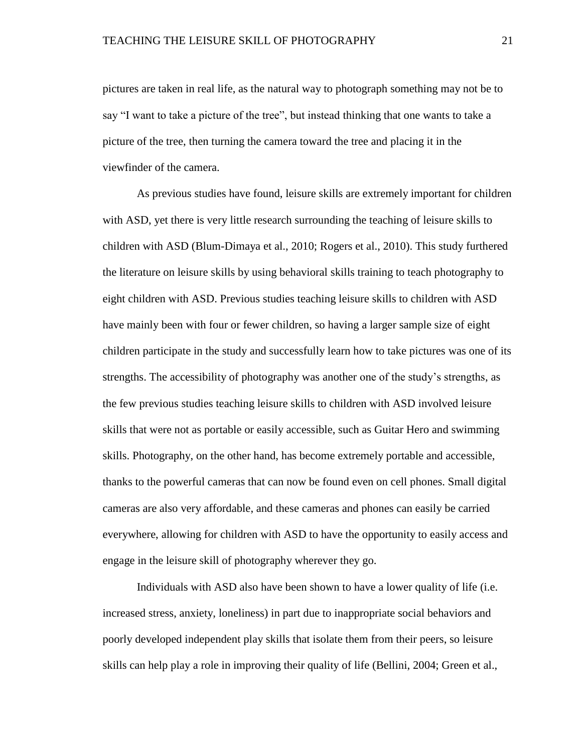pictures are taken in real life, as the natural way to photograph something may not be to say "I want to take a picture of the tree", but instead thinking that one wants to take a picture of the tree, then turning the camera toward the tree and placing it in the viewfinder of the camera.

As previous studies have found, leisure skills are extremely important for children with ASD, yet there is very little research surrounding the teaching of leisure skills to children with ASD (Blum-Dimaya et al., 2010; Rogers et al., 2010). This study furthered the literature on leisure skills by using behavioral skills training to teach photography to eight children with ASD. Previous studies teaching leisure skills to children with ASD have mainly been with four or fewer children, so having a larger sample size of eight children participate in the study and successfully learn how to take pictures was one of its strengths. The accessibility of photography was another one of the study's strengths, as the few previous studies teaching leisure skills to children with ASD involved leisure skills that were not as portable or easily accessible, such as Guitar Hero and swimming skills. Photography, on the other hand, has become extremely portable and accessible, thanks to the powerful cameras that can now be found even on cell phones. Small digital cameras are also very affordable, and these cameras and phones can easily be carried everywhere, allowing for children with ASD to have the opportunity to easily access and engage in the leisure skill of photography wherever they go.

Individuals with ASD also have been shown to have a lower quality of life (i.e. increased stress, anxiety, loneliness) in part due to inappropriate social behaviors and poorly developed independent play skills that isolate them from their peers, so leisure skills can help play a role in improving their quality of life (Bellini, 2004; Green et al.,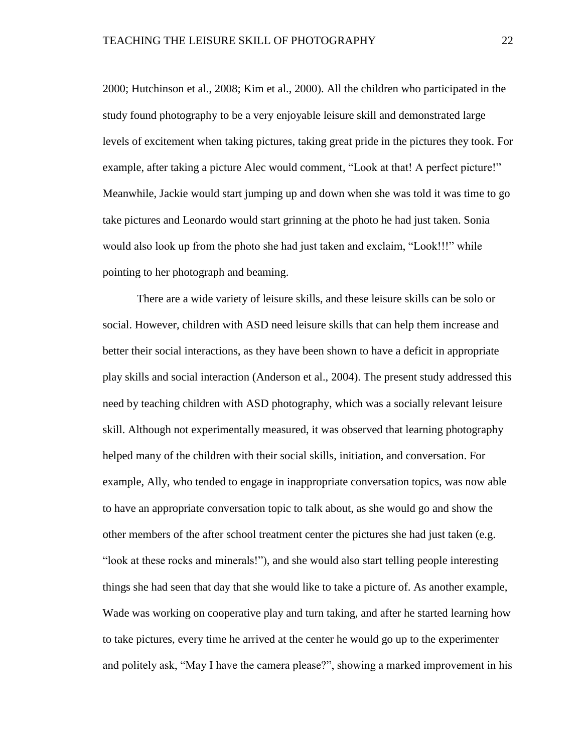2000; Hutchinson et al., 2008; Kim et al., 2000). All the children who participated in the study found photography to be a very enjoyable leisure skill and demonstrated large levels of excitement when taking pictures, taking great pride in the pictures they took. For example, after taking a picture Alec would comment, "Look at that! A perfect picture!" Meanwhile, Jackie would start jumping up and down when she was told it was time to go take pictures and Leonardo would start grinning at the photo he had just taken. Sonia would also look up from the photo she had just taken and exclaim, "Look!!!" while pointing to her photograph and beaming.

There are a wide variety of leisure skills, and these leisure skills can be solo or social. However, children with ASD need leisure skills that can help them increase and better their social interactions, as they have been shown to have a deficit in appropriate play skills and social interaction (Anderson et al., 2004). The present study addressed this need by teaching children with ASD photography, which was a socially relevant leisure skill. Although not experimentally measured, it was observed that learning photography helped many of the children with their social skills, initiation, and conversation. For example, Ally, who tended to engage in inappropriate conversation topics, was now able to have an appropriate conversation topic to talk about, as she would go and show the other members of the after school treatment center the pictures she had just taken (e.g. "look at these rocks and minerals!"), and she would also start telling people interesting things she had seen that day that she would like to take a picture of. As another example, Wade was working on cooperative play and turn taking, and after he started learning how to take pictures, every time he arrived at the center he would go up to the experimenter and politely ask, "May I have the camera please?", showing a marked improvement in his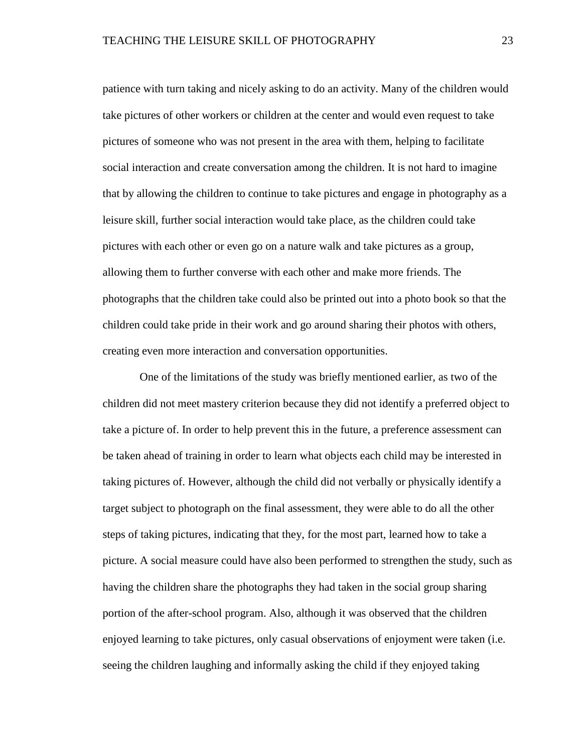patience with turn taking and nicely asking to do an activity. Many of the children would take pictures of other workers or children at the center and would even request to take pictures of someone who was not present in the area with them, helping to facilitate social interaction and create conversation among the children. It is not hard to imagine that by allowing the children to continue to take pictures and engage in photography as a leisure skill, further social interaction would take place, as the children could take pictures with each other or even go on a nature walk and take pictures as a group, allowing them to further converse with each other and make more friends. The photographs that the children take could also be printed out into a photo book so that the children could take pride in their work and go around sharing their photos with others, creating even more interaction and conversation opportunities.

One of the limitations of the study was briefly mentioned earlier, as two of the children did not meet mastery criterion because they did not identify a preferred object to take a picture of. In order to help prevent this in the future, a preference assessment can be taken ahead of training in order to learn what objects each child may be interested in taking pictures of. However, although the child did not verbally or physically identify a target subject to photograph on the final assessment, they were able to do all the other steps of taking pictures, indicating that they, for the most part, learned how to take a picture. A social measure could have also been performed to strengthen the study, such as having the children share the photographs they had taken in the social group sharing portion of the after-school program. Also, although it was observed that the children enjoyed learning to take pictures, only casual observations of enjoyment were taken (i.e. seeing the children laughing and informally asking the child if they enjoyed taking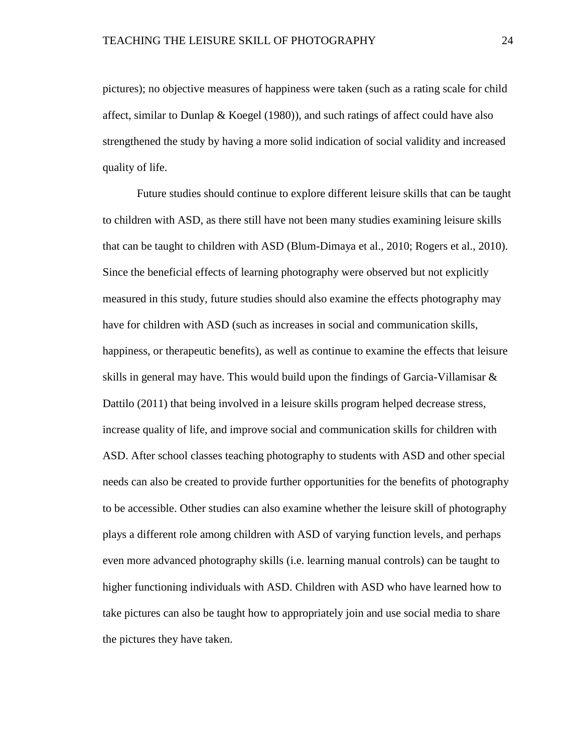pictures); no objective measures of happiness were taken (such as a rating scale for child affect, similar to Dunlap & Koegel  $(1980)$ ), and such ratings of affect could have also strengthened the study by having a more solid indication of social validity and increased quality of life.

Future studies should continue to explore different leisure skills that can be taught to children with ASD, as there still have not been many studies examining leisure skills that can be taught to children with ASD (Blum-Dimaya et al., 2010; Rogers et al., 2010). Since the beneficial effects of learning photography were observed but not explicitly measured in this study, future studies should also examine the effects photography may have for children with ASD (such as increases in social and communication skills, happiness, or therapeutic benefits), as well as continue to examine the effects that leisure skills in general may have. This would build upon the findings of Garcia-Villamisar  $\&$ Dattilo (2011) that being involved in a leisure skills program helped decrease stress, increase quality of life, and improve social and communication skills for children with ASD. After school classes teaching photography to students with ASD and other special needs can also be created to provide further opportunities for the benefits of photography to be accessible. Other studies can also examine whether the leisure skill of photography plays a different role among children with ASD of varying function levels, and perhaps even more advanced photography skills (i.e. learning manual controls) can be taught to higher functioning individuals with ASD. Children with ASD who have learned how to take pictures can also be taught how to appropriately join and use social media to share the pictures they have taken.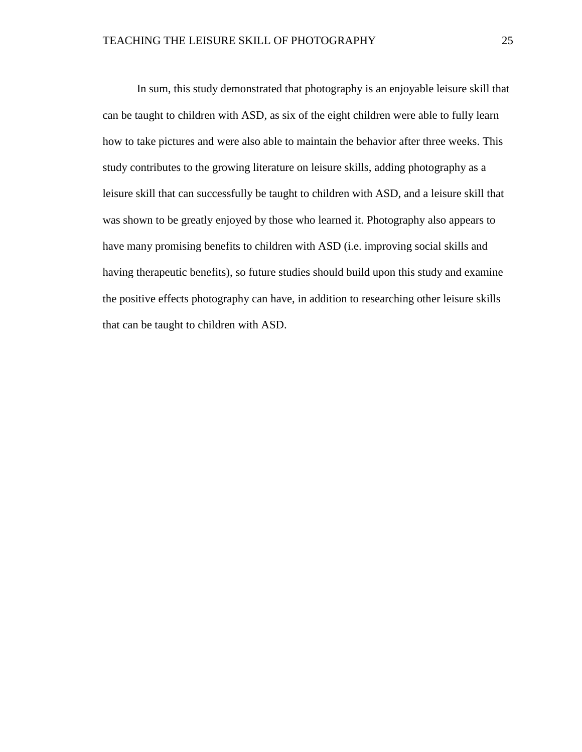In sum, this study demonstrated that photography is an enjoyable leisure skill that can be taught to children with ASD, as six of the eight children were able to fully learn how to take pictures and were also able to maintain the behavior after three weeks. This study contributes to the growing literature on leisure skills, adding photography as a leisure skill that can successfully be taught to children with ASD, and a leisure skill that was shown to be greatly enjoyed by those who learned it. Photography also appears to have many promising benefits to children with ASD (i.e. improving social skills and having therapeutic benefits), so future studies should build upon this study and examine the positive effects photography can have, in addition to researching other leisure skills that can be taught to children with ASD.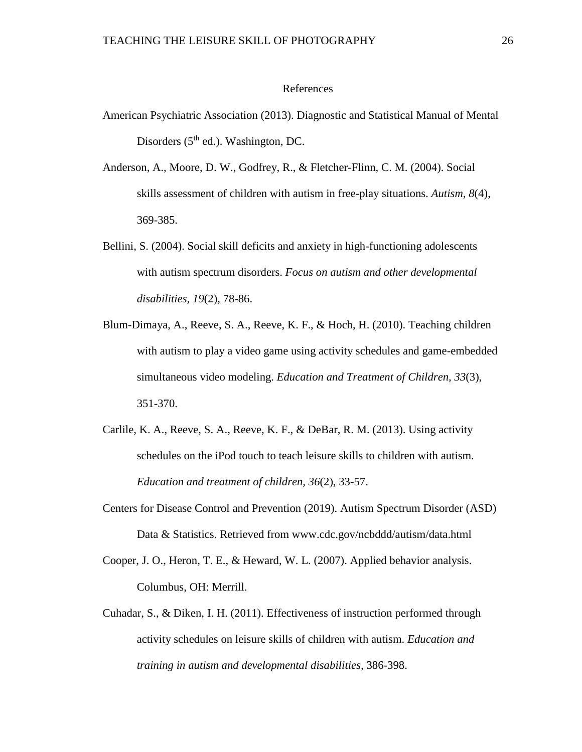#### References

- American Psychiatric Association (2013). Diagnostic and Statistical Manual of Mental Disorders  $(5<sup>th</sup>$  ed.). Washington, DC.
- Anderson, A., Moore, D. W., Godfrey, R., & Fletcher-Flinn, C. M. (2004). Social skills assessment of children with autism in free-play situations. *Autism, 8*(4), 369-385.
- Bellini, S. (2004). Social skill deficits and anxiety in high-functioning adolescents with autism spectrum disorders. *Focus on autism and other developmental disabilities, 19*(2), 78-86.
- Blum-Dimaya, A., Reeve, S. A., Reeve, K. F., & Hoch, H. (2010). Teaching children with autism to play a video game using activity schedules and game-embedded simultaneous video modeling. *Education and Treatment of Children, 33*(3), 351-370.
- Carlile, K. A., Reeve, S. A., Reeve, K. F., & DeBar, R. M. (2013). Using activity schedules on the iPod touch to teach leisure skills to children with autism*. Education and treatment of children, 36*(2), 33-57.
- Centers for Disease Control and Prevention (2019). Autism Spectrum Disorder (ASD) Data & Statistics. Retrieved from www.cdc.gov/ncbddd/autism/data.html
- Cooper, J. O., Heron, T. E., & Heward, W. L. (2007). Applied behavior analysis. Columbus, OH: Merrill.
- Cuhadar, S., & Diken, I. H. (2011). Effectiveness of instruction performed through activity schedules on leisure skills of children with autism. *Education and training in autism and developmental disabilities,* 386-398.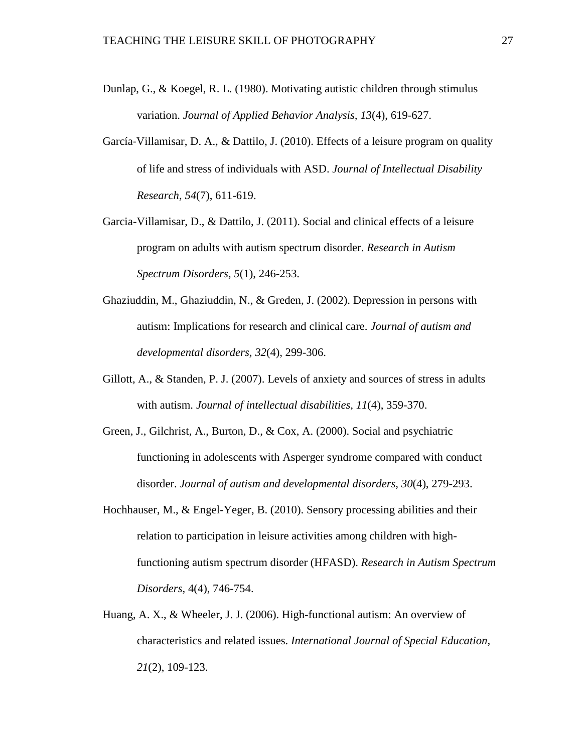- Dunlap, G., & Koegel, R. L. (1980). Motivating autistic children through stimulus variation. *Journal of Applied Behavior Analysis, 13*(4), 619-627.
- García‐Villamisar, D. A., & Dattilo, J. (2010). Effects of a leisure program on quality of life and stress of individuals with ASD. *Journal of Intellectual Disability Research, 54*(7), 611-619.
- Garcia-Villamisar, D., & Dattilo, J. (2011). Social and clinical effects of a leisure program on adults with autism spectrum disorder. *Research in Autism Spectrum Disorders, 5*(1), 246-253.
- Ghaziuddin, M., Ghaziuddin, N., & Greden, J. (2002). Depression in persons with autism: Implications for research and clinical care. *Journal of autism and developmental disorders, 32*(4), 299-306.
- Gillott, A., & Standen, P. J. (2007). Levels of anxiety and sources of stress in adults with autism. *Journal of intellectual disabilities, 11*(4), 359-370.
- Green, J., Gilchrist, A., Burton, D., & Cox, A. (2000). Social and psychiatric functioning in adolescents with Asperger syndrome compared with conduct disorder. *Journal of autism and developmental disorders, 30*(4), 279-293.
- Hochhauser, M., & Engel-Yeger, B. (2010). Sensory processing abilities and their relation to participation in leisure activities among children with highfunctioning autism spectrum disorder (HFASD). *Research in Autism Spectrum Disorders*, 4(4), 746-754.
- Huang, A. X., & Wheeler, J. J. (2006). High-functional autism: An overview of characteristics and related issues. *International Journal of Special Education, 21*(2), 109-123.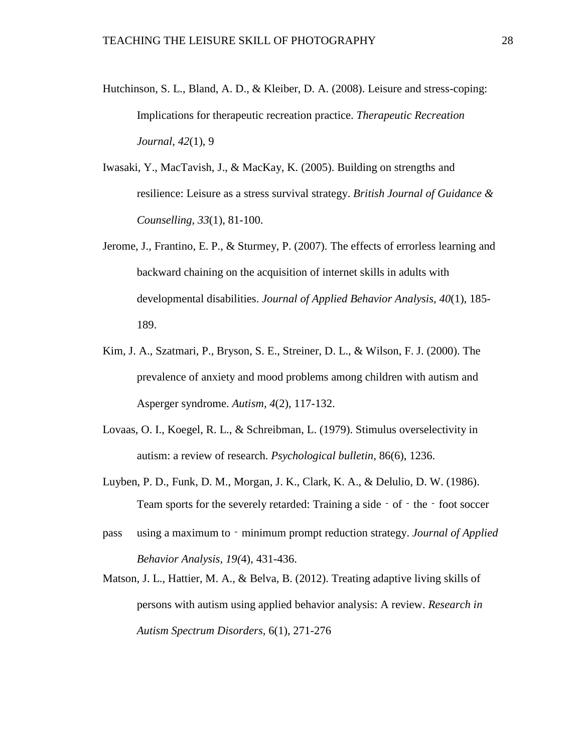- Hutchinson, S. L., Bland, A. D., & Kleiber, D. A. (2008). Leisure and stress-coping: Implications for therapeutic recreation practice. *Therapeutic Recreation Journal, 42*(1), 9
- Iwasaki, Y., MacTavish, J., & MacKay, K. (2005). Building on strengths and resilience: Leisure as a stress survival strategy. *British Journal of Guidance & Counselling, 33*(1), 81-100.
- Jerome, J., Frantino, E. P., & Sturmey, P. (2007). The effects of errorless learning and backward chaining on the acquisition of internet skills in adults with developmental disabilities. *Journal of Applied Behavior Analysis, 40*(1), 185- 189.
- Kim, J. A., Szatmari, P., Bryson, S. E., Streiner, D. L., & Wilson, F. J. (2000). The prevalence of anxiety and mood problems among children with autism and Asperger syndrome. *Autism, 4*(2), 117-132.
- Lovaas, O. I., Koegel, R. L., & Schreibman, L. (1979). Stimulus overselectivity in autism: a review of research. *Psychological bulletin*, 86(6), 1236.
- Luyben, P. D., Funk, D. M., Morgan, J. K., Clark, K. A., & Delulio, D. W. (1986). Team sports for the severely retarded: Training a side – of – the – foot soccer
- pass using a maximum to‐minimum prompt reduction strategy. *Journal of Applied Behavior Analysis, 19(*4), 431-436.
- Matson, J. L., Hattier, M. A., & Belva, B. (2012). Treating adaptive living skills of persons with autism using applied behavior analysis: A review. *Research in Autism Spectrum Disorders,* 6(1), 271-276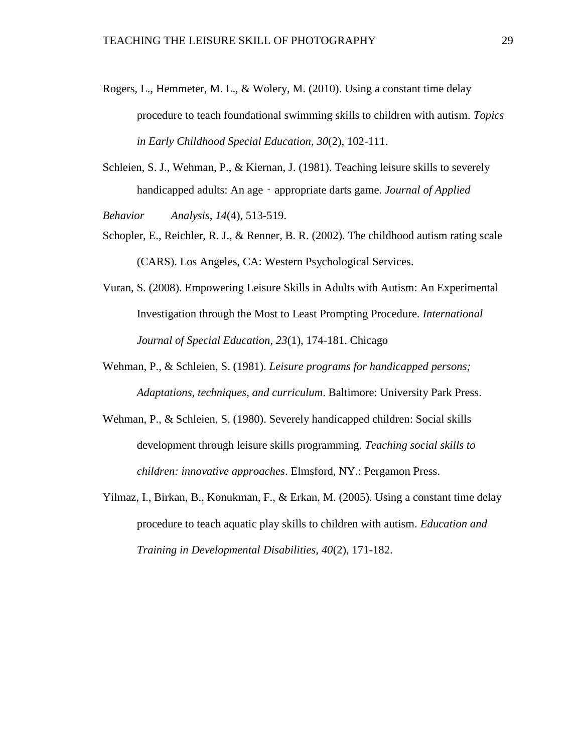- Rogers, L., Hemmeter, M. L., & Wolery, M. (2010). Using a constant time delay procedure to teach foundational swimming skills to children with autism. *Topics in Early Childhood Special Education, 30*(2), 102-111.
- Schleien, S. J., Wehman, P., & Kiernan, J. (1981). Teaching leisure skills to severely handicapped adults: An age - appropriate darts game. *Journal of Applied*

*Behavior Analysis, 14*(4), 513-519.

- Schopler, E., Reichler, R. J., & Renner, B. R. (2002). The childhood autism rating scale (CARS). Los Angeles, CA: Western Psychological Services.
- Vuran, S. (2008). Empowering Leisure Skills in Adults with Autism: An Experimental Investigation through the Most to Least Prompting Procedure. *International Journal of Special Education, 23*(1), 174-181. Chicago
- Wehman, P., & Schleien, S. (1981). *Leisure programs for handicapped persons; Adaptations, techniques, and curriculum*. Baltimore: University Park Press.
- Wehman, P., & Schleien, S. (1980). Severely handicapped children: Social skills development through leisure skills programming. *Teaching social skills to children: innovative approaches*. Elmsford, NY.: Pergamon Press.
- Yilmaz, I., Birkan, B., Konukman, F., & Erkan, M. (2005). Using a constant time delay procedure to teach aquatic play skills to children with autism. *Education and Training in Developmental Disabilities, 40*(2), 171-182.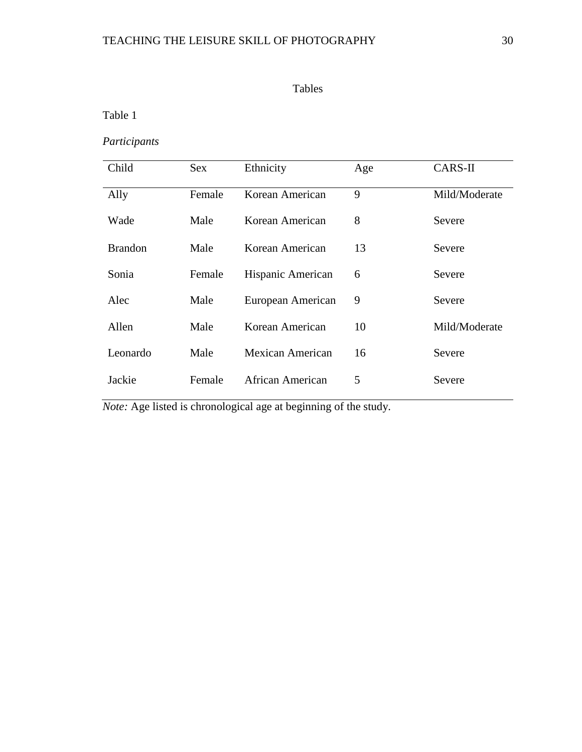Table 1

*Participants*

| Child          | <b>Sex</b> | Ethnicity         | Age | CARS-II       |
|----------------|------------|-------------------|-----|---------------|
| Ally           | Female     | Korean American   | 9   | Mild/Moderate |
| Wade           | Male       | Korean American   | 8   | Severe        |
| <b>Brandon</b> | Male       | Korean American   | 13  | Severe        |
| Sonia          | Female     | Hispanic American | 6   | Severe        |
| Alec           | Male       | European American | 9   | Severe        |
| Allen          | Male       | Korean American   | 10  | Mild/Moderate |
| Leonardo       | Male       | Mexican American  | 16  | Severe        |
| Jackie         | Female     | African American  | 5   | Severe        |

*Note:* Age listed is chronological age at beginning of the study.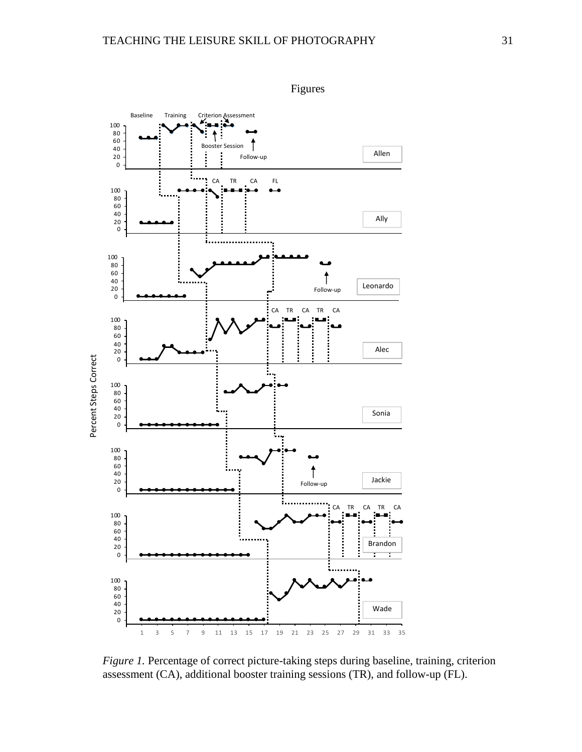

*Figure 1.* Percentage of correct picture-taking steps during baseline, training, criterion assessment (CA), additional booster training sessions (TR), and follow-up (FL).

Figures